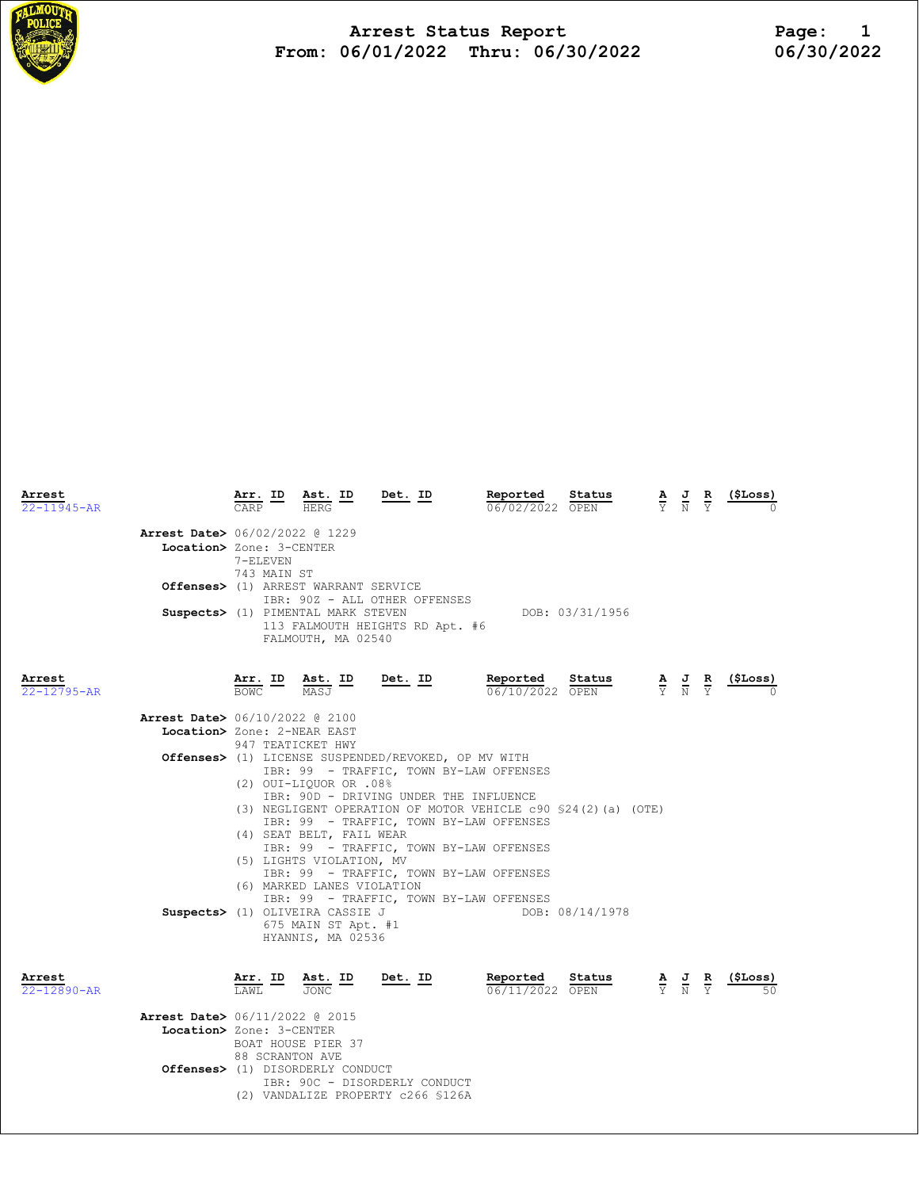

Arrest Status Report 1<br>16/01/2022 Thru: 06/30/2022 16/30/2022 From:  $06/01/2022$  Thru:  $06/30/2022$ 

| Arrest<br>$22 - 11945 - AR$ |                                          | $\frac{\texttt{Arr.}}{\texttt{CARP}}$ ID                               | $\frac{\text{Ast.}}{\text{UPPC}}$<br><b>HERG</b>                        | Det. ID                                             | Reported<br>06/02/2022 OPEN                                   | Status          | $\frac{\mathbf{A}}{\mathbf{Y}}$ $\frac{\mathbf{J}}{\mathbf{N}}$ $\frac{\mathbf{R}}{\mathbf{Y}}$ | $\frac{(\$Loss)}{2}$ |
|-----------------------------|------------------------------------------|------------------------------------------------------------------------|-------------------------------------------------------------------------|-----------------------------------------------------|---------------------------------------------------------------|-----------------|-------------------------------------------------------------------------------------------------|----------------------|
|                             | Arrest Date> 06/02/2022 @ 1229           |                                                                        |                                                                         |                                                     |                                                               |                 |                                                                                                 |                      |
|                             | Location> Zone: 3-CENTER                 |                                                                        |                                                                         |                                                     |                                                               |                 |                                                                                                 |                      |
|                             |                                          | 7-ELEVEN                                                               |                                                                         |                                                     |                                                               |                 |                                                                                                 |                      |
|                             |                                          | 743 MAIN ST                                                            |                                                                         |                                                     |                                                               |                 |                                                                                                 |                      |
|                             |                                          |                                                                        | Offenses> (1) ARREST WARRANT SERVICE                                    |                                                     |                                                               |                 |                                                                                                 |                      |
|                             |                                          |                                                                        |                                                                         | IBR: 90Z - ALL OTHER OFFENSES                       |                                                               |                 |                                                                                                 |                      |
|                             |                                          |                                                                        | Suspects> (1) PIMENTAL MARK STEVEN                                      |                                                     |                                                               | DOB: 03/31/1956 |                                                                                                 |                      |
|                             |                                          |                                                                        | FALMOUTH, MA 02540                                                      | 113 FALMOUTH HEIGHTS RD Apt. #6                     |                                                               |                 |                                                                                                 |                      |
| Arrest                      |                                          | $\frac{\texttt{Arr.}}{\texttt{BOWC}}$ $\frac{\texttt{ID}}{\texttt{D}}$ | Ast. ID<br>MASJ                                                         | <u>Det. ID</u>                                      | Reported                                                      | Status          | $\frac{\mathbf{A}}{\mathbf{Y}}$ $\frac{\mathbf{J}}{\mathbf{N}}$ $\frac{\mathbf{R}}{\mathbf{Y}}$ | $\frac{(\$Loss)}{0}$ |
| $22 - 12795 - AR$           |                                          |                                                                        |                                                                         |                                                     | 06/10/2022 OPEN                                               |                 |                                                                                                 |                      |
|                             | <b>Arrest Date&gt;</b> 06/10/2022 @ 2100 |                                                                        |                                                                         |                                                     |                                                               |                 |                                                                                                 |                      |
|                             | Location> Zone: 2-NEAR EAST              |                                                                        |                                                                         |                                                     |                                                               |                 |                                                                                                 |                      |
|                             |                                          |                                                                        | 947 TEATICKET HWY                                                       |                                                     |                                                               |                 |                                                                                                 |                      |
|                             |                                          |                                                                        |                                                                         | Offenses> (1) LICENSE SUSPENDED/REVOKED, OP MV WITH |                                                               |                 |                                                                                                 |                      |
|                             |                                          |                                                                        |                                                                         | IBR: 99 - TRAFFIC, TOWN BY-LAW OFFENSES             |                                                               |                 |                                                                                                 |                      |
|                             |                                          |                                                                        | (2) OUI-LIQUOR OR .08%                                                  |                                                     |                                                               |                 |                                                                                                 |                      |
|                             |                                          |                                                                        |                                                                         | IBR: 90D - DRIVING UNDER THE INFLUENCE              |                                                               |                 |                                                                                                 |                      |
|                             |                                          |                                                                        |                                                                         | IBR: 99 - TRAFFIC, TOWN BY-LAW OFFENSES             | (3) NEGLIGENT OPERATION OF MOTOR VEHICLE c90 \$24(2)(a) (OTE) |                 |                                                                                                 |                      |
|                             |                                          |                                                                        | (4) SEAT BELT, FAIL WEAR                                                |                                                     |                                                               |                 |                                                                                                 |                      |
|                             |                                          |                                                                        |                                                                         | IBR: 99 - TRAFFIC, TOWN BY-LAW OFFENSES             |                                                               |                 |                                                                                                 |                      |
|                             |                                          |                                                                        | (5) LIGHTS VIOLATION, MV                                                |                                                     |                                                               |                 |                                                                                                 |                      |
|                             |                                          |                                                                        |                                                                         | IBR: 99 - TRAFFIC, TOWN BY-LAW OFFENSES             |                                                               |                 |                                                                                                 |                      |
|                             |                                          |                                                                        | (6) MARKED LANES VIOLATION                                              |                                                     |                                                               |                 |                                                                                                 |                      |
|                             |                                          |                                                                        |                                                                         | IBR: 99 - TRAFFIC, TOWN BY-LAW OFFENSES             |                                                               |                 |                                                                                                 |                      |
|                             |                                          |                                                                        | Suspects> (1) OLIVEIRA CASSIE J                                         |                                                     |                                                               | DOB: 08/14/1978 |                                                                                                 |                      |
|                             |                                          |                                                                        | 675 MAIN ST Apt. #1<br>HYANNIS, MA 02536                                |                                                     |                                                               |                 |                                                                                                 |                      |
|                             |                                          |                                                                        |                                                                         |                                                     |                                                               |                 |                                                                                                 |                      |
| Arrest<br>$22 - 12890 - AR$ |                                          | $\frac{\texttt{Arr.}}{\texttt{LAML}}$ ID                               | $\frac{\texttt{Ast.}}{\texttt{JONC}}$ $\frac{\texttt{ID}}{\texttt{ID}}$ | <u>Det. ID</u>                                      | <u>Reported</u><br>06/11/2022 OPEN                            | Status          | $\frac{\mathbf{A}}{\mathbf{Y}}$ $\frac{\mathbf{J}}{\mathbf{N}}$ $\frac{\mathbf{R}}{\mathbf{Y}}$ | $\frac{1}{2}$        |
|                             | <b>Arrest Date&gt;</b> 06/11/2022 @ 2015 |                                                                        |                                                                         |                                                     |                                                               |                 |                                                                                                 |                      |
|                             | Location> Zone: 3-CENTER                 |                                                                        |                                                                         |                                                     |                                                               |                 |                                                                                                 |                      |
|                             |                                          |                                                                        | BOAT HOUSE PIER 37                                                      |                                                     |                                                               |                 |                                                                                                 |                      |
|                             |                                          | 88 SCRANTON AVE                                                        |                                                                         |                                                     |                                                               |                 |                                                                                                 |                      |
|                             |                                          |                                                                        | <b>Offenses&gt;</b> (1) DISORDERLY CONDUCT                              |                                                     |                                                               |                 |                                                                                                 |                      |
|                             |                                          |                                                                        |                                                                         | IBR: 90C - DISORDERLY CONDUCT                       |                                                               |                 |                                                                                                 |                      |

(2) VANDALIZE PROPERTY c266 §126A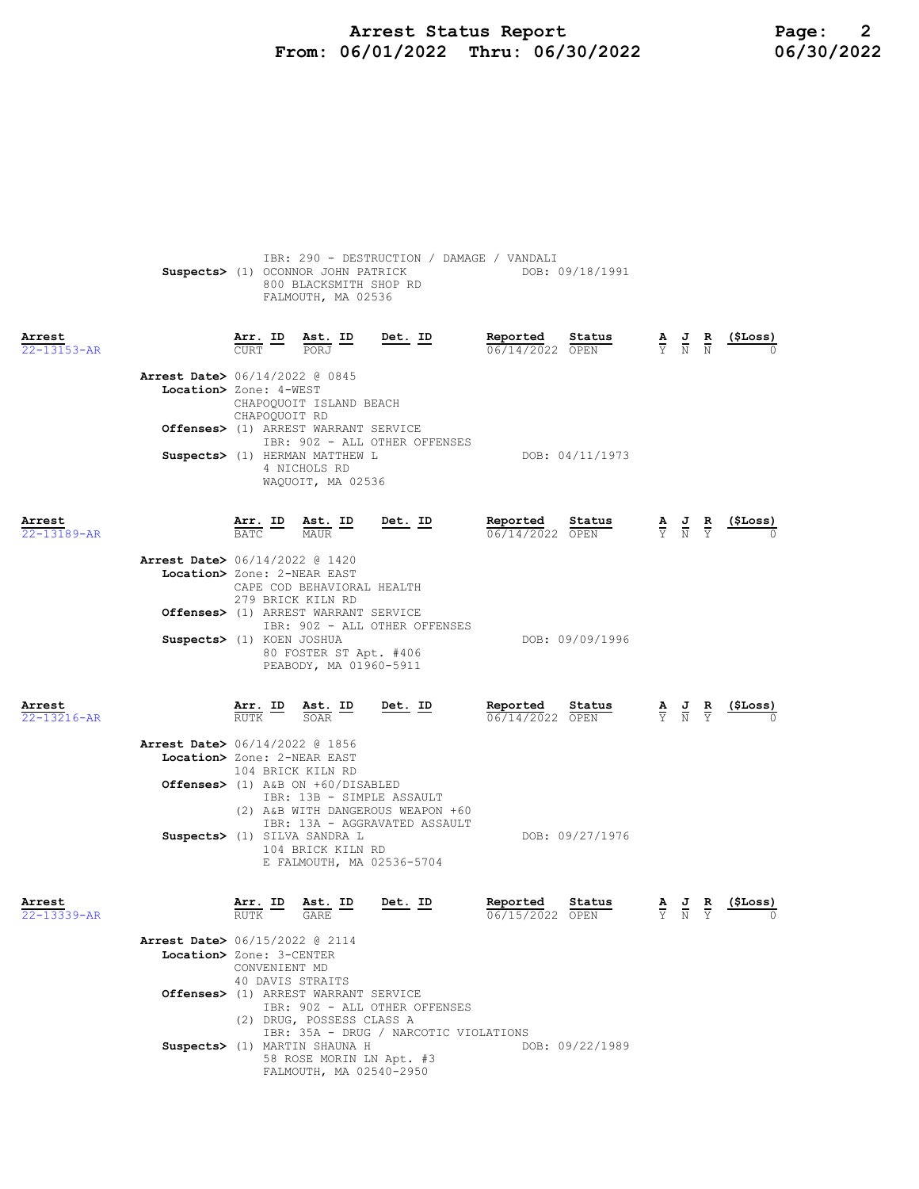## Arrest Status Report **Page:** 2 From: 06/01/2022 Thru: 06/30/2022 06/30/2022

|                             | IBR: 290 - DESTRUCTION / DAMAGE / VANDALI<br>Suspects> (1) OCONNOR JOHN PATRICK<br>800 BLACKSMITH SHOP RD<br>FALMOUTH, MA 02536                                 | DOB: 09/18/1991                         |                                                                 |                               |           |
|-----------------------------|-----------------------------------------------------------------------------------------------------------------------------------------------------------------|-----------------------------------------|-----------------------------------------------------------------|-------------------------------|-----------|
| Arrest<br>22-13153-AR       | Arr. ID<br><u>Det. ID</u><br>Ast. ID<br><b>CURT</b><br>PORJ                                                                                                     | Reported<br>Status<br>06/14/2022 OPEN   | $\frac{\mathbf{A}}{\mathbf{Y}}$ $\frac{\mathbf{J}}{\mathbf{N}}$ | $\frac{R}{N}$                 | (ŞLoss)   |
|                             | <b>Arrest Date&gt;</b> 06/14/2022 @ 0845<br>Location> Zone: 4-WEST<br>CHAPOQUOIT ISLAND BEACH<br>CHAPOOUOIT RD                                                  |                                         |                                                                 |                               |           |
|                             | Offenses> (1) ARREST WARRANT SERVICE<br>IBR: 90Z - ALL OTHER OFFENSES<br>Suspects> (1) HERMAN MATTHEW L<br>4 NICHOLS RD                                         | DOB: 04/11/1973                         |                                                                 |                               |           |
| Arrest                      | WAQUOIT, MA 02536<br>Det. ID                                                                                                                                    | Reported<br>Status                      |                                                                 |                               |           |
| 22-13189-AR                 | Arr. ID<br>BATC<br>Ast. ID<br>MAUR<br>MAUR                                                                                                                      | 06/14/2022 OPEN                         | $\frac{\mathbf{A}}{\mathbf{Y}}$ $\frac{\mathbf{J}}{\mathbf{N}}$ |                               |           |
|                             | <b>Arrest Date&gt;</b> 06/14/2022 @ 1420<br>Location> Zone: 2-NEAR EAST<br>CAPE COD BEHAVIORAL HEALTH<br>279 BRICK KILN RD                                      |                                         |                                                                 |                               |           |
|                             | Offenses> (1) ARREST WARRANT SERVICE<br>IBR: 90Z - ALL OTHER OFFENSES<br>Suspects> (1) KOEN JOSHUA                                                              | DOB: 09/09/1996                         |                                                                 |                               |           |
|                             | 80 FOSTER ST Apt. #406<br>PEABODY, MA 01960-5911                                                                                                                |                                         |                                                                 |                               |           |
|                             |                                                                                                                                                                 |                                         |                                                                 |                               |           |
| Arrest<br>22-13216-AR       | Arr. ID Ast. ID<br>Det. ID<br><b>RUTK</b><br>SOAR                                                                                                               | Reported<br>Status<br>$06/14/2022$ OPEN | $\frac{\mathbf{A}}{\mathbf{Y}}$ $\frac{\mathbf{J}}{\mathbf{N}}$ | $rac{\mathbf{R}}{\mathbf{Y}}$ | (\$Loss)  |
|                             | <b>Arrest Date&gt;</b> 06/14/2022 @ 1856<br>Location> Zone: 2-NEAR EAST<br>104 BRICK KILN RD                                                                    |                                         |                                                                 |                               |           |
|                             | Offenses> (1) A&B ON +60/DISABLED<br>IBR: 13B - SIMPLE ASSAULT<br>(2) A&B WITH DANGEROUS WEAPON +60                                                             |                                         |                                                                 |                               |           |
|                             | IBR: 13A - AGGRAVATED ASSAULT<br>Suspects> (1) SILVA SANDRA L<br>104 BRICK KILN RD<br>E FALMOUTH, MA 02536-5704                                                 | DOB: 09/27/1976                         |                                                                 |                               |           |
| Arrest<br>$22 - 13339 - AR$ | Det. ID<br><u>Ast. ID</u><br>$\overline{\text{RUT}}\text{K}$<br><b>GARE</b>                                                                                     | Reported<br>Status<br>06/15/2022 OPEN   | $\frac{\mathbf{A}}{\mathrm{Y}}$<br>$\frac{J}{N}$                |                               | ( \$Loss) |
|                             | Arrest Date> 06/15/2022 @ 2114<br>Location> Zone: 3-CENTER<br>CONVENIENT MD                                                                                     |                                         |                                                                 |                               |           |
|                             | 40 DAVIS STRAITS<br>Offenses> (1) ARREST WARRANT SERVICE<br>IBR: 90Z - ALL OTHER OFFENSES<br>(2) DRUG, POSSESS CLASS A<br>IBR: 35A - DRUG / NARCOTIC VIOLATIONS |                                         |                                                                 |                               |           |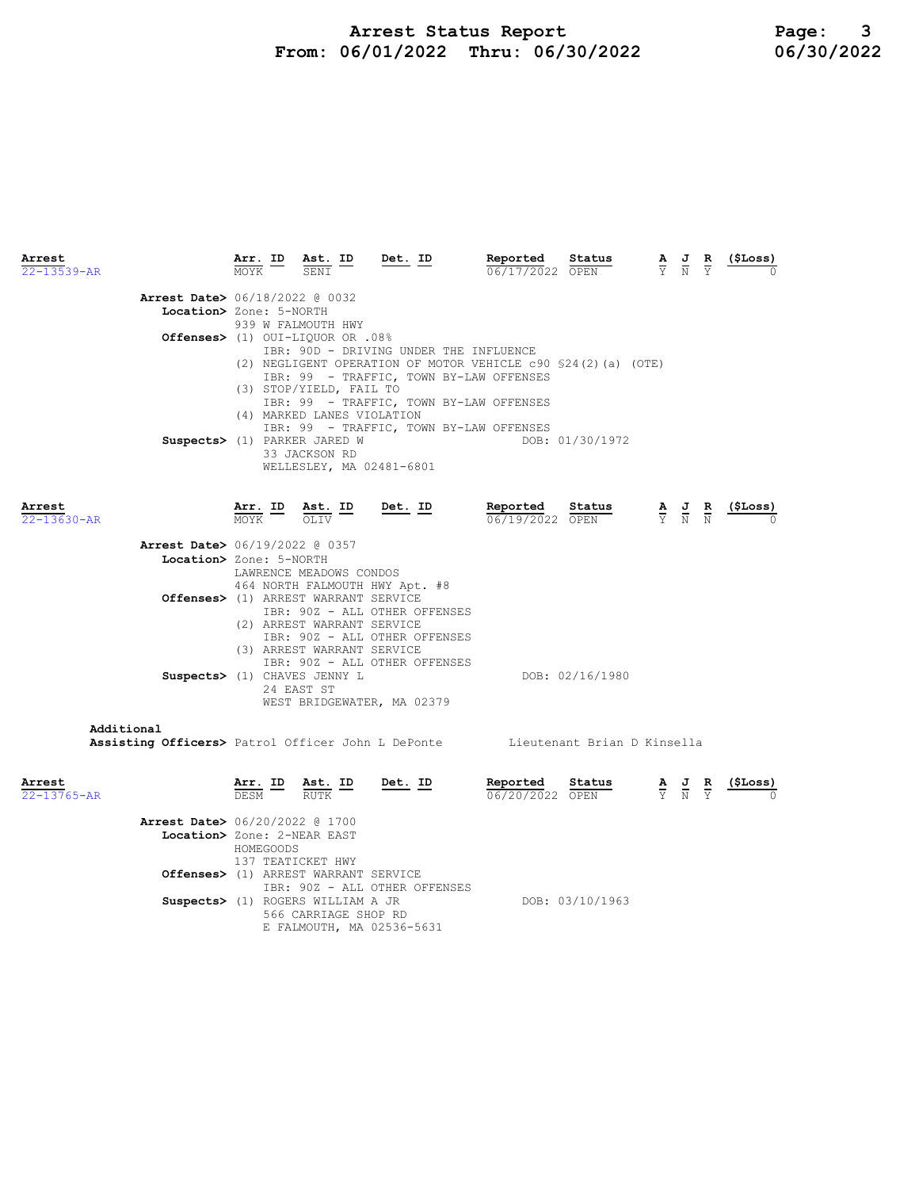## Arrest Status Report 16/10/2022 Page: 3<br>16/01/2022 Thru: 06/30/2022 16/30/2022 From:  $06/01/2022$  Thru:  $06/30/2022$

| Arrest                                                                        |                   | Arr. ID Ast. ID                                                                                   | Det. ID                        | Reported                                                      | Status          | $\frac{\mathbf{A}}{\mathbf{Y}}$ $\frac{\mathbf{J}}{\mathbf{N}}$                                 | $rac{\mathbf{R}}{\mathrm{Y}}$ | (\$Loss)        |
|-------------------------------------------------------------------------------|-------------------|---------------------------------------------------------------------------------------------------|--------------------------------|---------------------------------------------------------------|-----------------|-------------------------------------------------------------------------------------------------|-------------------------------|-----------------|
| $22 - 13539 - AR$                                                             | MOYK              | SENI                                                                                              |                                | 06/17/2022 OPEN                                               |                 |                                                                                                 |                               |                 |
| <b>Arrest Date&gt;</b> 06/18/2022 @ 0032                                      |                   |                                                                                                   |                                |                                                               |                 |                                                                                                 |                               |                 |
| Location> Zone: 5-NORTH                                                       |                   |                                                                                                   |                                |                                                               |                 |                                                                                                 |                               |                 |
|                                                                               |                   | 939 W FALMOUTH HWY                                                                                |                                |                                                               |                 |                                                                                                 |                               |                 |
| 0ffenses> (1) OUI-LIQUOR OR .08%                                              |                   |                                                                                                   |                                |                                                               |                 |                                                                                                 |                               |                 |
|                                                                               |                   |                                                                                                   |                                | IBR: 90D - DRIVING UNDER THE INFLUENCE                        |                 |                                                                                                 |                               |                 |
|                                                                               |                   |                                                                                                   |                                | (2) NEGLIGENT OPERATION OF MOTOR VEHICLE c90 \$24(2)(a) (OTE) |                 |                                                                                                 |                               |                 |
|                                                                               |                   |                                                                                                   |                                | IBR: 99 - TRAFFIC, TOWN BY-LAW OFFENSES                       |                 |                                                                                                 |                               |                 |
|                                                                               |                   | (3) STOP/YIELD, FAIL TO                                                                           |                                |                                                               |                 |                                                                                                 |                               |                 |
|                                                                               |                   |                                                                                                   |                                | IBR: 99 - TRAFFIC, TOWN BY-LAW OFFENSES                       |                 |                                                                                                 |                               |                 |
|                                                                               |                   | (4) MARKED LANES VIOLATION                                                                        |                                |                                                               |                 |                                                                                                 |                               |                 |
|                                                                               |                   |                                                                                                   |                                | IBR: 99 - TRAFFIC, TOWN BY-LAW OFFENSES                       |                 |                                                                                                 |                               |                 |
| Suspects> (1) PARKER JARED W                                                  |                   |                                                                                                   |                                |                                                               | DOB: 01/30/1972 |                                                                                                 |                               |                 |
|                                                                               |                   | 33 JACKSON RD                                                                                     |                                |                                                               |                 |                                                                                                 |                               |                 |
|                                                                               |                   |                                                                                                   | WELLESLEY, MA 02481-6801       |                                                               |                 |                                                                                                 |                               |                 |
|                                                                               |                   |                                                                                                   |                                |                                                               |                 |                                                                                                 |                               |                 |
|                                                                               |                   |                                                                                                   |                                |                                                               |                 |                                                                                                 |                               |                 |
| Arrest                                                                        | Arr. ID           | $\frac{\text{Ast.}}{\text{OLI}}$                                                                  | <u>Det.</u> ID                 | Reported                                                      | Status          | $\frac{\mathbf{A}}{\mathbf{Y}}$ $\frac{\mathbf{J}}{\mathbf{N}}$ $\frac{\mathbf{R}}{\mathbf{N}}$ |                               | <u>(\$Loss)</u> |
| $22 - 13630 - AR$                                                             | MOYK <sup>-</sup> | OLTV                                                                                              |                                | 06/19/2022 OPEN                                               |                 |                                                                                                 |                               |                 |
|                                                                               |                   |                                                                                                   |                                |                                                               |                 |                                                                                                 |                               |                 |
| <b>Arrest Date&gt;</b> 06/19/2022 @ 0357                                      |                   |                                                                                                   |                                |                                                               |                 |                                                                                                 |                               |                 |
| Location> Zone: 5-NORTH                                                       |                   |                                                                                                   |                                |                                                               |                 |                                                                                                 |                               |                 |
|                                                                               |                   | LAWRENCE MEADOWS CONDOS                                                                           |                                |                                                               |                 |                                                                                                 |                               |                 |
|                                                                               |                   |                                                                                                   | 464 NORTH FALMOUTH HWY Apt. #8 |                                                               |                 |                                                                                                 |                               |                 |
| Offenses> (1) ARREST WARRANT SERVICE                                          |                   |                                                                                                   |                                |                                                               |                 |                                                                                                 |                               |                 |
|                                                                               |                   |                                                                                                   | IBR: 90Z - ALL OTHER OFFENSES  |                                                               |                 |                                                                                                 |                               |                 |
|                                                                               |                   | (2) ARREST WARRANT SERVICE                                                                        |                                |                                                               |                 |                                                                                                 |                               |                 |
|                                                                               |                   |                                                                                                   | IBR: 90Z - ALL OTHER OFFENSES  |                                                               |                 |                                                                                                 |                               |                 |
|                                                                               |                   | (3) ARREST WARRANT SERVICE                                                                        |                                |                                                               |                 |                                                                                                 |                               |                 |
|                                                                               |                   |                                                                                                   | IBR: 90Z - ALL OTHER OFFENSES  |                                                               |                 |                                                                                                 |                               |                 |
| Suspects> (1) CHAVES JENNY L                                                  |                   |                                                                                                   |                                |                                                               | DOB: 02/16/1980 |                                                                                                 |                               |                 |
|                                                                               |                   | 24 EAST ST                                                                                        |                                |                                                               |                 |                                                                                                 |                               |                 |
|                                                                               |                   |                                                                                                   | WEST BRIDGEWATER, MA 02379     |                                                               |                 |                                                                                                 |                               |                 |
| Additional                                                                    |                   |                                                                                                   |                                |                                                               |                 |                                                                                                 |                               |                 |
| Assisting Officers> Patrol Officer John L DePonte Lieutenant Brian D Kinsella |                   |                                                                                                   |                                |                                                               |                 |                                                                                                 |                               |                 |
|                                                                               |                   |                                                                                                   |                                |                                                               |                 |                                                                                                 |                               |                 |
|                                                                               |                   |                                                                                                   |                                |                                                               |                 |                                                                                                 |                               |                 |
| Arrest                                                                        |                   |                                                                                                   | Det. ID                        | Reported                                                      | Status          |                                                                                                 |                               | (\$Loss)        |
| $22 - 13765 - AR$                                                             |                   | $\frac{\texttt{Arr.}}{\texttt{DESM}}$ ID $\frac{\texttt{ Ast.}}{\texttt{RUTK}}$ ID<br><b>RUTK</b> |                                | 06/20/2022 OPEN                                               |                 | $\frac{\mathbf{A}}{\mathbf{Y}}$ $\frac{\mathbf{J}}{\mathbf{N}}$ $\frac{\mathbf{R}}{\mathbf{Y}}$ |                               |                 |
|                                                                               |                   |                                                                                                   |                                |                                                               |                 |                                                                                                 |                               |                 |
| <b>Arrest Date&gt;</b> 06/20/2022 @ 1700                                      |                   |                                                                                                   |                                |                                                               |                 |                                                                                                 |                               |                 |
| Location> Zone: 2-NEAR EAST                                                   |                   |                                                                                                   |                                |                                                               |                 |                                                                                                 |                               |                 |
|                                                                               | HOMEGOODS         |                                                                                                   |                                |                                                               |                 |                                                                                                 |                               |                 |
|                                                                               |                   | 137 TEATICKET HWY                                                                                 |                                |                                                               |                 |                                                                                                 |                               |                 |
| Offenses> (1) ARREST WARRANT SERVICE                                          |                   |                                                                                                   |                                |                                                               |                 |                                                                                                 |                               |                 |
|                                                                               |                   |                                                                                                   | TDD: 005 AIT OFFIED ORRENORS   |                                                               |                 |                                                                                                 |                               |                 |

 IBR: 90Z - ALL OTHER OFFENSES Suspects> (1) ROGERS WILLIAM A JR DOB: 03/10/1963 566 CARRIAGE SHOP RD E FALMOUTH, MA 02536-5631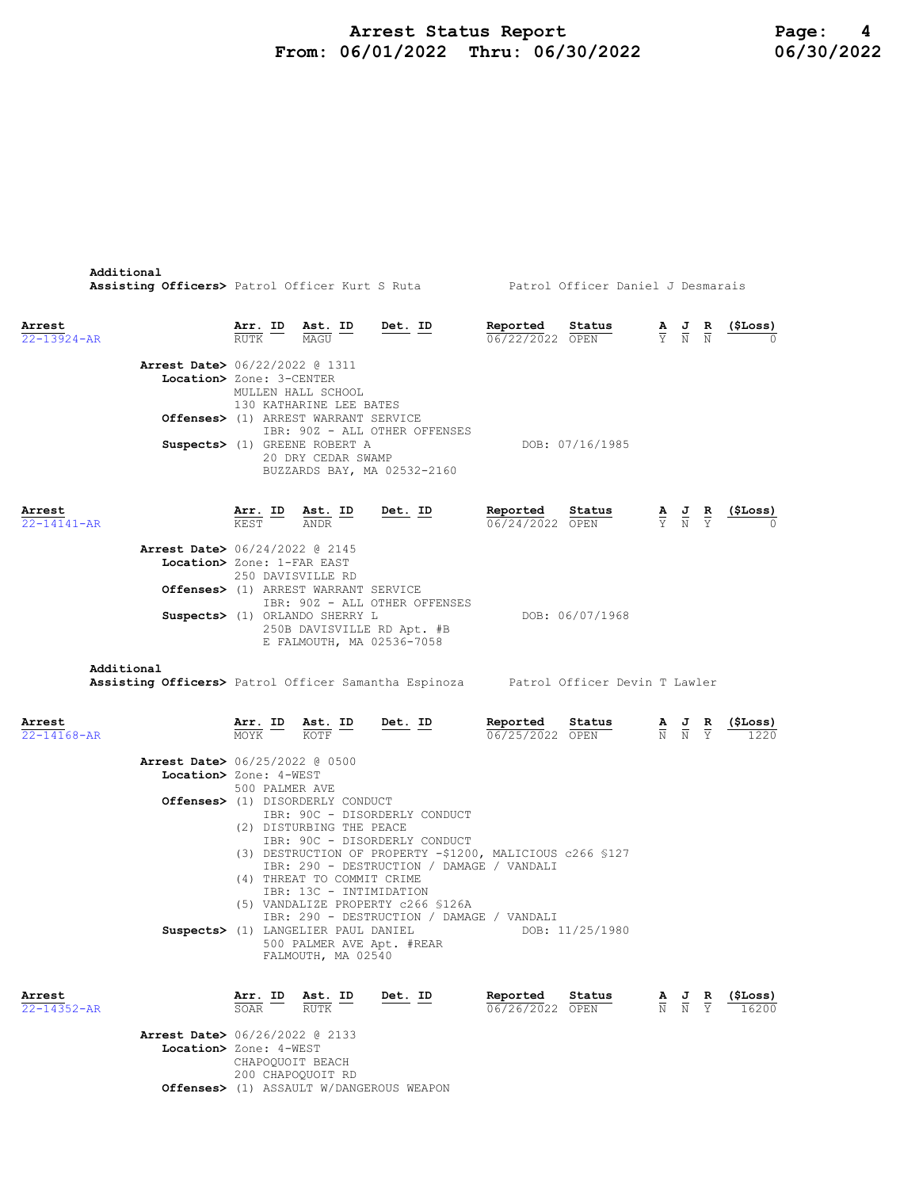## Arrest Status Report 1994 Page: 4<br>16/01/2022 Thru: 06/30/2022 1996/30/2022 From:  $06/01/2022$  Thru:  $06/30/2022$

| Additional<br>Assisting Officers> Patrol Officer Kurt S Ruta Matrol Officer Daniel J Desmarais   |                 |                                                                                           |                                                                                                                               |                             |                                    |                                                                                                 |                                                                 |                                                                                                                        |
|--------------------------------------------------------------------------------------------------|-----------------|-------------------------------------------------------------------------------------------|-------------------------------------------------------------------------------------------------------------------------------|-----------------------------|------------------------------------|-------------------------------------------------------------------------------------------------|-----------------------------------------------------------------|------------------------------------------------------------------------------------------------------------------------|
| Arrest<br>$22 - 13924 - AR$                                                                      |                 | <b>Arr. ID</b> Ast. ID<br>RUTK MAGU                                                       | <u>Det.</u> ID                                                                                                                | Reported<br>06/22/2022 OPEN | Status                             |                                                                                                 |                                                                 | $\frac{\mathbf{A}}{\text{Y}}$ $\frac{\mathbf{J}}{\text{N}}$ $\frac{\mathbf{R}}{\text{N}}$ (\$Loss)                     |
| <b>Arrest Date&gt;</b> 06/22/2022 @ 1311<br>Location> Zone: 3-CENTER                             |                 | MULLEN HALL SCHOOL<br>130 KATHARINE LEE BATES                                             |                                                                                                                               |                             |                                    |                                                                                                 |                                                                 |                                                                                                                        |
|                                                                                                  |                 | Offenses> (1) ARREST WARRANT SERVICE<br>Suspects> (1) GREENE ROBERT A                     | IBR: 90Z - ALL OTHER OFFENSES                                                                                                 |                             | DOB: 07/16/1985                    |                                                                                                 |                                                                 |                                                                                                                        |
|                                                                                                  |                 | 20 DRY CEDAR SWAMP                                                                        | BUZZARDS BAY, MA 02532-2160                                                                                                   |                             |                                    |                                                                                                 |                                                                 |                                                                                                                        |
| Arrest<br>$22 - 14141 - AR$                                                                      |                 | $\frac{\texttt{Arr.}}{\texttt{KEY}}$ ID $\frac{\texttt{ Ast.}}{\texttt{ANDR}}$ ID         | Det. ID                                                                                                                       | Reported<br>06/24/2022 OPEN | Status                             |                                                                                                 |                                                                 | $\frac{\mathbf{A}}{\text{Y}}$ $\frac{\mathbf{J}}{\text{N}}$ $\frac{\mathbf{R}}{\text{Y}}$ $\frac{(\texttt{SLoss})}{0}$ |
| <b>Arrest Date&gt;</b> 06/24/2022 @ 2145<br>Location> Zone: 1-FAR EAST                           |                 | 250 DAVISVILLE RD<br>Offenses> (1) ARREST WARRANT SERVICE                                 |                                                                                                                               |                             |                                    |                                                                                                 |                                                                 |                                                                                                                        |
|                                                                                                  |                 |                                                                                           | IBR: 90Z - ALL OTHER OFFENSES<br>Suspects> (1) ORLANDO SHERRY L<br>250B DAVISVILLE RD Apt. #B<br>E FALMOUTH, MA 02536-7058    |                             | DOB: 06/07/1968                    |                                                                                                 |                                                                 |                                                                                                                        |
| Additional<br>Assisting Officers> Patrol Officer Samantha Espinoza Patrol Officer Devin T Lawler |                 |                                                                                           |                                                                                                                               |                             |                                    |                                                                                                 |                                                                 |                                                                                                                        |
| Arrest<br>$22 - 14168 - AR$                                                                      |                 | $\frac{\texttt{Arr.}}{\texttt{MOYK}}$ ID $\frac{\texttt{Ast.}}{\texttt{KOFF}}$ ID Det. ID |                                                                                                                               | Reported<br>06/25/2022 OPEN | $\frac{\text{Status}}{\text{111}}$ | $\frac{\mathbf{A}}{\mathbb{N}}$ $\frac{\mathbf{J}}{\mathbb{N}}$ $\frac{\mathbf{R}}{\mathbb{Y}}$ |                                                                 | (ŞLoss)                                                                                                                |
| <b>Arrest Date&gt;</b> 06/25/2022 @ 0500<br>Location> Zone: 4-WEST                               |                 |                                                                                           |                                                                                                                               |                             |                                    |                                                                                                 |                                                                 |                                                                                                                        |
|                                                                                                  | 500 PALMER AVE  | Offenses> (1) DISORDERLY CONDUCT<br>(2) DISTURBING THE PEACE                              | IBR: 90C - DISORDERLY CONDUCT<br>IBR: 90C - DISORDERLY CONDUCT<br>(3) DESTRUCTION OF PROPERTY -\$1200, MALICIOUS c266 \$127   |                             |                                    |                                                                                                 |                                                                 |                                                                                                                        |
|                                                                                                  |                 | (4) THREAT TO COMMIT CRIME<br>IBR: 13C - INTIMIDATION                                     | IBR: 290 - DESTRUCTION / DAMAGE / VANDALI<br>(5) VANDALIZE PROPERTY c266 \$126A                                               |                             |                                    |                                                                                                 |                                                                 |                                                                                                                        |
|                                                                                                  |                 | FALMOUTH, MA 02540                                                                        | IBR: 290 - DESTRUCTION / DAMAGE / VANDALI<br>Suspects> (1) LANGELIER PAUL DANIEL DOB: 11/25/1980<br>500 PALMER AVE Apt. #REAR |                             |                                    |                                                                                                 |                                                                 |                                                                                                                        |
| Arrest<br>$22 - 14352 - AR$                                                                      | Arr. ID<br>SOAR | Ast. ID<br>RUTK                                                                           | Det. ID                                                                                                                       | Reported<br>06/26/2022 OPEN | Status                             |                                                                                                 | $\frac{\mathbf{A}}{\mathbf{N}}$ $\frac{\mathbf{J}}{\mathbf{N}}$ | (ŞLoss)                                                                                                                |

Arrest Date> 06/26/2022 @ 2133 Location> Zone: 4-WEST CHAPOQUOIT BEACH 200 CHAPOQUOIT RD Offenses> (1) ASSAULT W/DANGEROUS WEAPON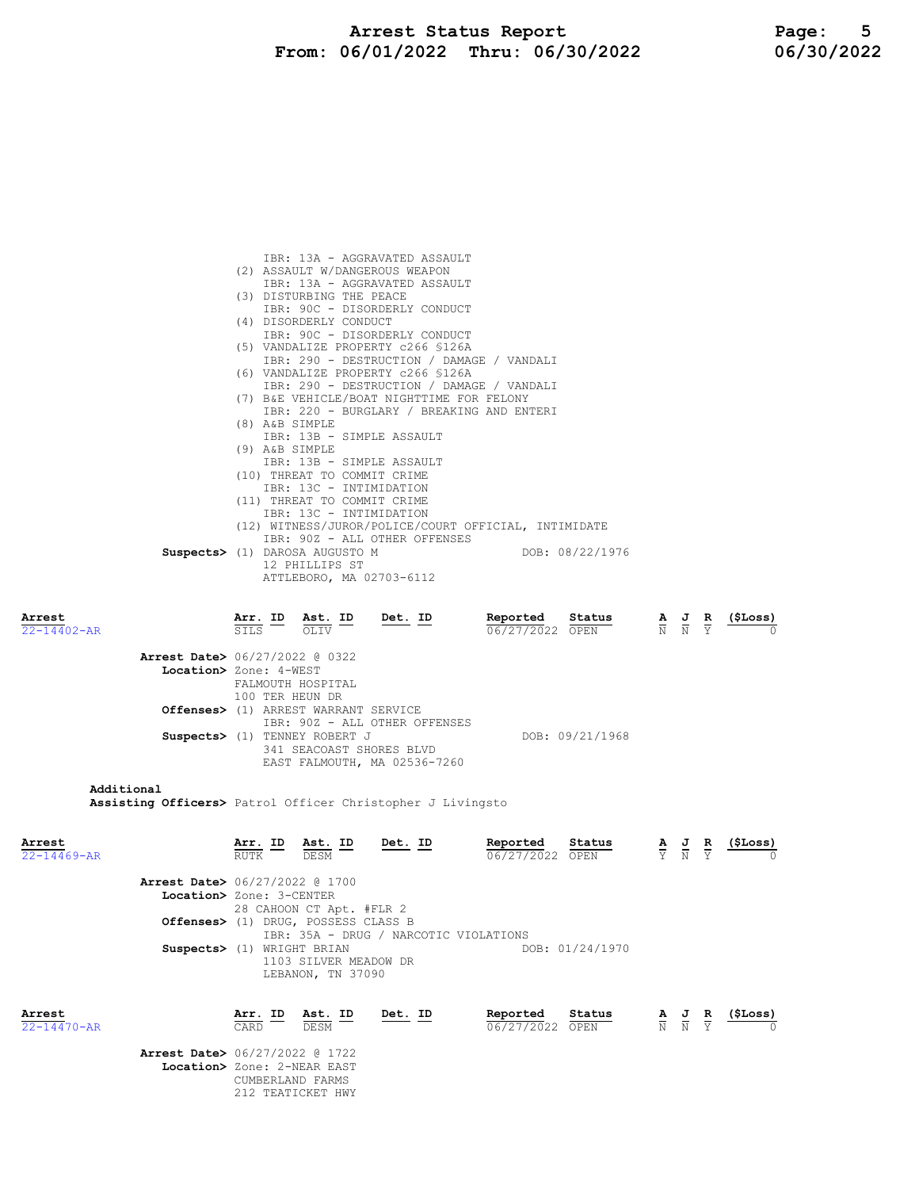Arrest Status Report 16/01/2022 Page: 5<br>16/01/2022 Thru: 06/30/2022 16/30/2022 From:  $06/01/2022$  Thru:  $06/30/2022$ 

|                             | IBR: 13A - AGGRAVATED ASSAULT<br>(2) ASSAULT W/DANGEROUS WEAPON<br>IBR: 13A - AGGRAVATED ASSAULT<br>(3) DISTURBING THE PEACE<br>IBR: 90C - DISORDERLY CONDUCT<br>(4) DISORDERLY CONDUCT<br>IBR: 90C - DISORDERLY CONDUCT<br>(5) VANDALIZE PROPERTY c266 \$126A |                               |                                                                                                 |                               |                 |
|-----------------------------|----------------------------------------------------------------------------------------------------------------------------------------------------------------------------------------------------------------------------------------------------------------|-------------------------------|-------------------------------------------------------------------------------------------------|-------------------------------|-----------------|
|                             | IBR: 290 - DESTRUCTION / DAMAGE / VANDALI<br>(6) VANDALIZE PROPERTY c266 \$126A                                                                                                                                                                                |                               |                                                                                                 |                               |                 |
|                             | IBR: 290 - DESTRUCTION / DAMAGE / VANDALI<br>(7) B&E VEHICLE/BOAT NIGHTTIME FOR FELONY<br>IBR: 220 - BURGLARY / BREAKING AND ENTERI<br>(8) A&B SIMPLE<br>IBR: 13B - SIMPLE ASSAULT<br>(9) A&B SIMPLE                                                           |                               |                                                                                                 |                               |                 |
|                             | IBR: 13B - SIMPLE ASSAULT<br>(10) THREAT TO COMMIT CRIME                                                                                                                                                                                                       |                               |                                                                                                 |                               |                 |
|                             | IBR: 13C - INTIMIDATION<br>(11) THREAT TO COMMIT CRIME<br>IBR: 13C - INTIMIDATION<br>(12) WITNESS/JUROR/POLICE/COURT OFFICIAL, INTIMIDATE<br>IBR: 90Z - ALL OTHER OFFENSES                                                                                     |                               |                                                                                                 |                               |                 |
|                             | Suspects> (1) DAROSA AUGUSTO M<br>DOB: 08/22/1976<br>12 PHILLIPS ST<br>ATTLEBORO, MA 02703-6112                                                                                                                                                                |                               |                                                                                                 |                               |                 |
| Arrest<br>22-14402-AR       | Reported<br>Status<br><u>Arr. ID Ast. ID</u><br>Det. ID<br>STLS 5<br>06/27/2022 OPEN<br>OLIV                                                                                                                                                                   |                               | $\frac{\mathbf{A}}{\mathbf{N}}$ $\frac{\mathbf{J}}{\mathbf{N}}$ $\frac{\mathbf{R}}{\mathbf{Y}}$ |                               | <u>(\$Loss)</u> |
|                             | <b>Arrest Date&gt;</b> 06/27/2022 @ 0322<br>Location> Zone: 4-WEST<br>FALMOUTH HOSPITAL<br>100 TER HEUN DR<br>Offenses> (1) ARREST WARRANT SERVICE                                                                                                             |                               |                                                                                                 |                               |                 |
|                             | IBR: 90Z - ALL OTHER OFFENSES<br>Suspects> (1) TENNEY ROBERT J<br>DOB: 09/21/1968<br>341 SEACOAST SHORES BLVD<br>EAST FALMOUTH, MA 02536-7260                                                                                                                  |                               |                                                                                                 |                               |                 |
| Additional                  | <b>Assisting Officers&gt;</b> Patrol Officer Christopher J Livingsto                                                                                                                                                                                           |                               |                                                                                                 |                               |                 |
| Arrest<br>$22 - 14469 - AR$ | Ast. ID<br><u>Det. ID</u><br>Reported<br>Status<br>Arr. ID<br><b>RUTK</b><br>06/27/2022 OPEN<br>DESM                                                                                                                                                           | $rac{\mathbf{A}}{\mathbf{Y}}$ |                                                                                                 | $rac{\mathbf{R}}{\mathbf{Y}}$ | <u>(ŞLoss)</u>  |
|                             | <b>Arrest Date&gt;</b> 06/27/2022 @ 1700<br>Location> Zone: 3-CENTER<br>28 CAHOON CT Apt. #FLR 2<br>Offenses> (1) DRUG, POSSESS CLASS B                                                                                                                        |                               |                                                                                                 |                               |                 |
|                             | IBR: 35A - DRUG / NARCOTIC VIOLATIONS<br>Suspects> (1) WRIGHT BRIAN<br>DOB: 01/24/1970<br>1103 SILVER MEADOW DR<br>LEBANON, TN 37090                                                                                                                           |                               |                                                                                                 |                               |                 |
| Arrest<br>$22 - 14470 - AR$ | Reported<br>Status<br>Arr. ID<br>Ast. ID<br><u>Det. ID</u><br>06/27/2022 OPEN<br>CARD<br>DESM                                                                                                                                                                  |                               | $\frac{\mathbf{A}}{\mathbb{N}}$ $\frac{\mathbf{J}}{\mathbb{N}}$                                 | $rac{\mathbf{R}}{\mathbf{Y}}$ | (\$Loss)        |
|                             | Arrest Date> 06/27/2022 @ 1722<br>Location> Zone: 2-NEAR EAST<br>CUMBERLAND FARMS<br>212 TEATICKET HWY                                                                                                                                                         |                               |                                                                                                 |                               |                 |